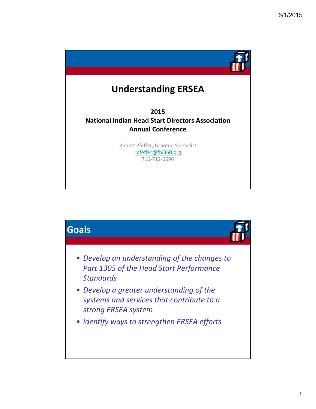

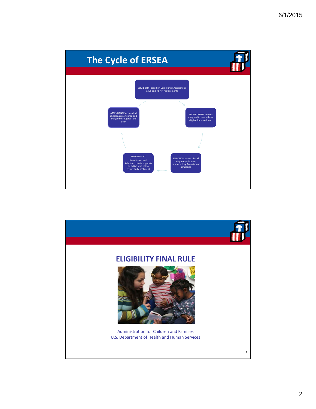

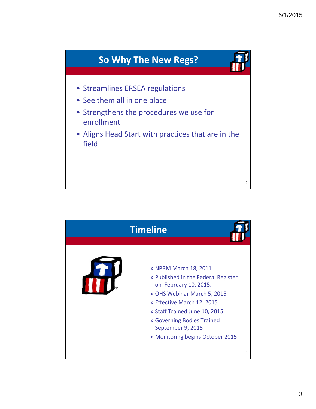

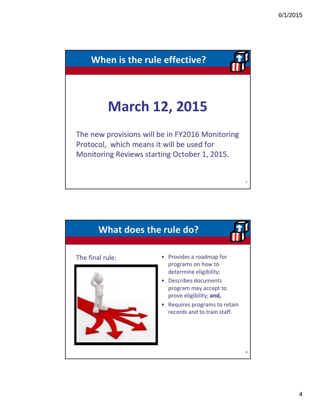

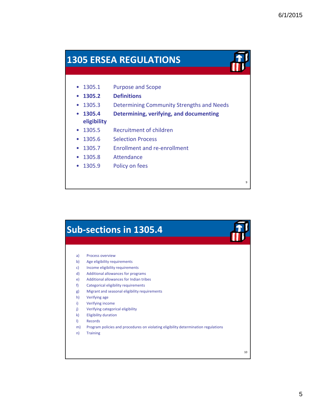9

#### **1305 ERSEA REGULATIONS**



- **1305 2. Definitions**
- 1305.3 Determining Community Strengths and Needs
- **1305.4 Determining, verifying, and documenting eligibility**
- 1305.5 Recruitment of children
- 1305.6 Selection Process
- 1305.7 Enrollment and re-enrollment
- 1305.8 Attendance
- 1305.9 Policy on fees

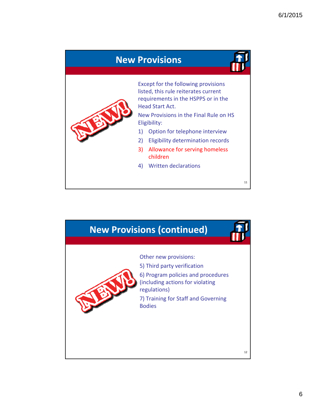

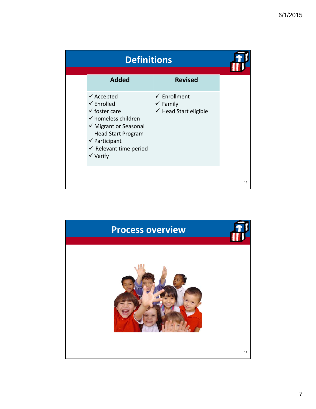| <b>Definitions</b> |                                                                                                                                                                                                                                                            |                                                                                    |    |
|--------------------|------------------------------------------------------------------------------------------------------------------------------------------------------------------------------------------------------------------------------------------------------------|------------------------------------------------------------------------------------|----|
|                    | <b>Added</b>                                                                                                                                                                                                                                               | <b>Revised</b>                                                                     |    |
|                    | $\checkmark$ Accepted<br>$\checkmark$ Enrolled<br>$\checkmark$ foster care<br>$\checkmark$ homeless children<br>✔ Migrant or Seasonal<br><b>Head Start Program</b><br>$\checkmark$ Participant<br>$\checkmark$ Relevant time period<br>$\checkmark$ Verify | $\checkmark$ Enrollment<br>$\checkmark$ Family<br>$\checkmark$ Head Start eligible |    |
|                    |                                                                                                                                                                                                                                                            |                                                                                    | 13 |

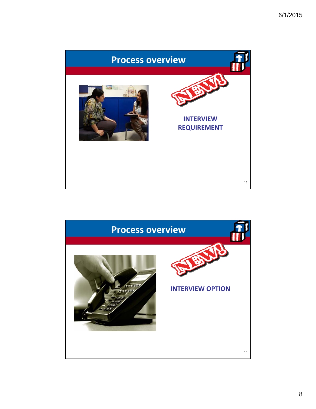

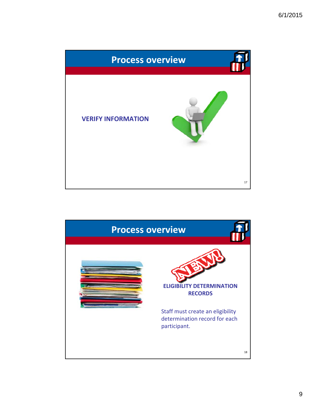

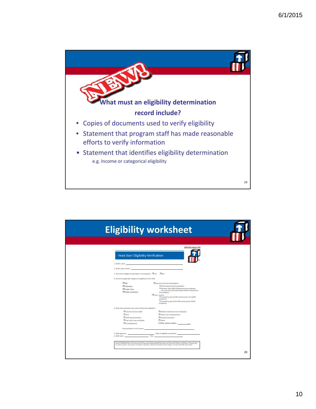

| <b>Eligibility worksheet</b>                                                                                                                  |                                                                                                                                                                                                                                                                                                                                                                                        |
|-----------------------------------------------------------------------------------------------------------------------------------------------|----------------------------------------------------------------------------------------------------------------------------------------------------------------------------------------------------------------------------------------------------------------------------------------------------------------------------------------------------------------------------------------|
|                                                                                                                                               |                                                                                                                                                                                                                                                                                                                                                                                        |
| <b>Head Start Eligibility Verification</b><br>1. Child's name:                                                                                | OMB XXX: Expires: XXX                                                                                                                                                                                                                                                                                                                                                                  |
| 2. Child's date of birth:                                                                                                                     |                                                                                                                                                                                                                                                                                                                                                                                        |
| 3. This child is eligible to participate in the program. $\Box$ Yes $\Box$ No                                                                 |                                                                                                                                                                                                                                                                                                                                                                                        |
| 4. Check the applicable category of eligibility for this child:                                                                               |                                                                                                                                                                                                                                                                                                                                                                                        |
| $\Box$ ssi<br>$\Box$ Homeless<br><b>O</b> Foster Care<br>Public assistance                                                                    | $\Box$ Income (check box that applies):<br>$\Box$ Below federal poverty quidelines<br>Between 100-130% of federal poverty quidelines<br>(no more than 35% of enrolled children may fall into<br>this category)<br>Over-Income<br>Counted as part of 10% maximum for non-AI/AN<br>programs)<br>Counted as part of the 49% maximum for AI/AN<br>programs)                                |
| 4. What documentation was used to determine eligibility?                                                                                      |                                                                                                                                                                                                                                                                                                                                                                                        |
| Income Tax Form 1040<br>$\n  W \cdot \n  2$<br>TANF documentation<br>Pay stub or pay envelopes<br>Unemployment<br>Documentation of no income: | $\Box$ Written statements from employers<br><b>D</b> Foster care reimbursement<br>SSI documentation<br>$\Box$ Other<br>If Other, please explain:                                                                                                                                                                                                                                       |
| 6. Staff name: Title:                                                                                                                         | THE PAPERWORK REDUCTION ACT OF 1995 (Pub. L. 104-13) Public reporting burden for this collection of information is estimated to average 77 hours per<br>response, including the time for reviewing instructions, gathering and maintaining the data needed, and reviewing the collection of information. An agency may not conduct or sponsor, and a person is not required to support |
|                                                                                                                                               | 20                                                                                                                                                                                                                                                                                                                                                                                     |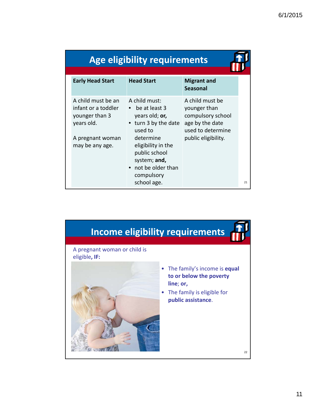|  | Age eligibility requirements |  |
|--|------------------------------|--|
|  |                              |  |

| <b>Early Head Start</b>                                                                                          | <b>Head Start</b>                                                                                                                                                                                             | <b>Migrant and</b><br><b>Seasonal</b>                                                                               |
|------------------------------------------------------------------------------------------------------------------|---------------------------------------------------------------------------------------------------------------------------------------------------------------------------------------------------------------|---------------------------------------------------------------------------------------------------------------------|
| A child must be an<br>infant or a toddler<br>younger than 3<br>years old.<br>A pregnant woman<br>may be any age. | A child must:<br>• be at least 3<br>years old; or,<br>• turn 3 by the date<br>used to<br>determine<br>eligibility in the<br>public school<br>system; and,<br>• not be older than<br>compulsory<br>school age. | A child must be<br>younger than<br>compulsory school<br>age by the date<br>used to determine<br>public eligibility. |

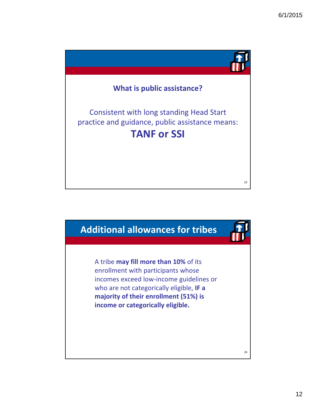

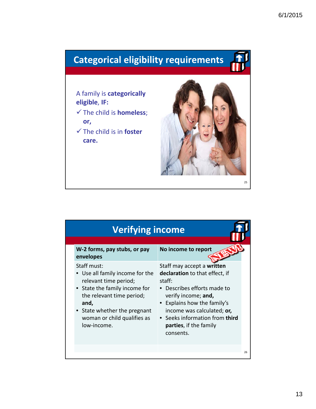# **Categorical eligibility requirements**

A family is **categorically eligible**, **IF:**

- The child is **homeless**; **or,**
- The child is in **foster care.**



25

| <b>Verifying income</b>                                                                                                                                                                                               |                                                                                                                                                                                                                                                                            |    |
|-----------------------------------------------------------------------------------------------------------------------------------------------------------------------------------------------------------------------|----------------------------------------------------------------------------------------------------------------------------------------------------------------------------------------------------------------------------------------------------------------------------|----|
| W-2 forms, pay stubs, or pay<br>envelopes                                                                                                                                                                             | No income to report                                                                                                                                                                                                                                                        |    |
| Staff must:<br>Use all family income for the<br>relevant time period;<br>State the family income for<br>the relevant time period;<br>and,<br>State whether the pregnant<br>woman or child qualifies as<br>low-income. | Staff may accept a written<br>declaration to that effect, if<br>staff:<br>• Describes efforts made to<br>verify income; and,<br>• Explains how the family's<br>income was calculated; or,<br>• Seeks information from third<br><b>parties</b> , if the family<br>consents. |    |
|                                                                                                                                                                                                                       |                                                                                                                                                                                                                                                                            | 26 |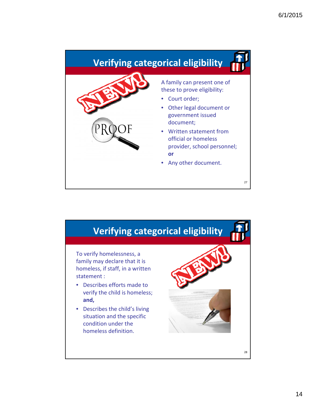

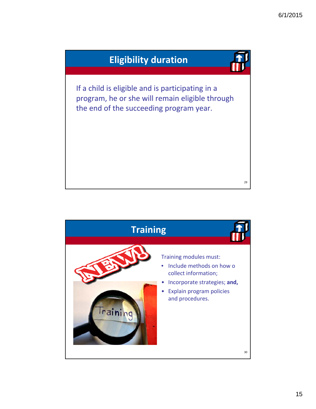

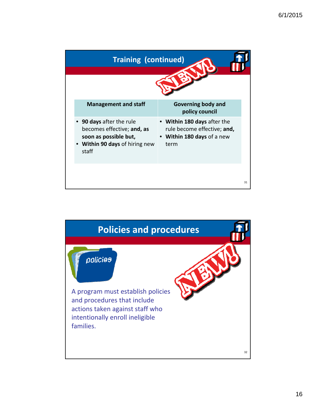

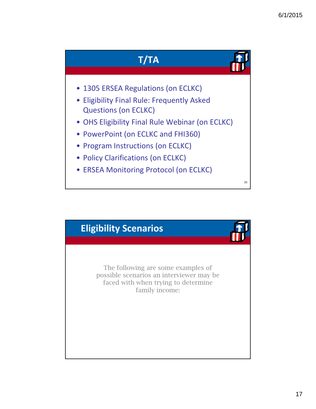

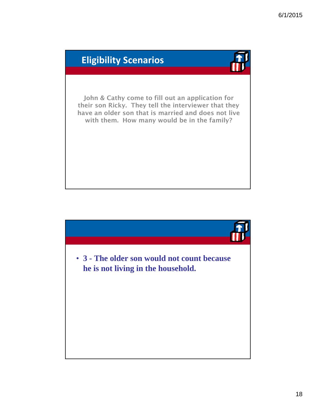

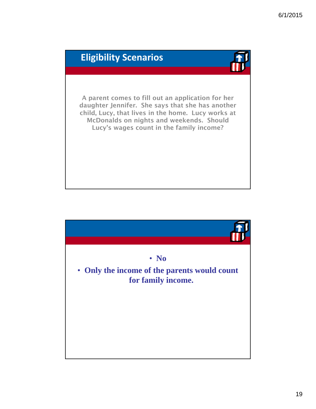

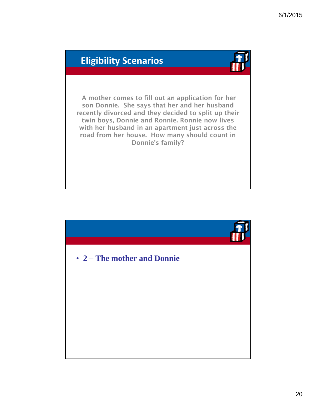A mother comes to fill out an application for her son Donnie. She says that her and her husband recently divorced and they decided to split up their twin boys, Donnie and Ronnie. Ronnie now lives with her husband in an apartment just across the road from her house. How many should count in Donnie's family?

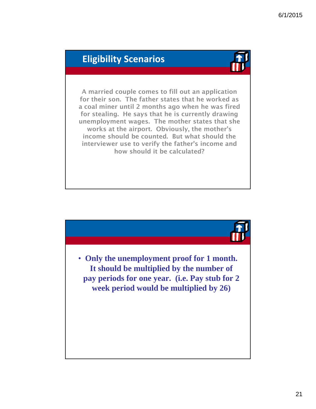A married couple comes to fill out an application for their son. The father states that he worked as a coal miner until 2 months ago when he was fired for stealing. He says that he is currently drawing unemployment wages. The mother states that she works at the airport. Obviously, the mother's income should be counted. But what should the interviewer use to verify the father's income and how should it be calculated?

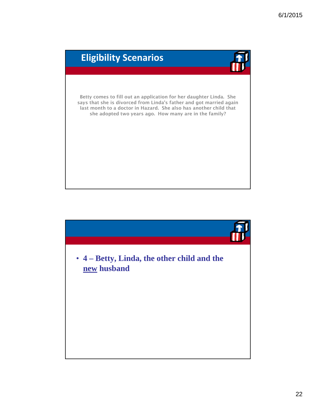

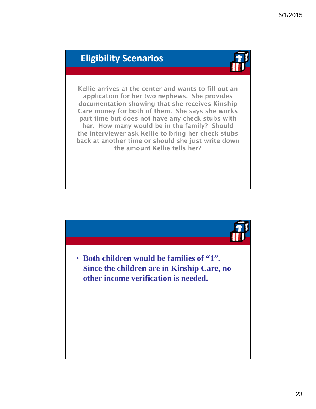

Kellie arrives at the center and wants to fill out an application for her two nephews. She provides documentation showing that she receives Kinship Care money for both of them. She says she works part time but does not have any check stubs with her. How many would be in the family? Should the interviewer ask Kellie to bring her check stubs back at another time or should she just write down the amount Kellie tells her?

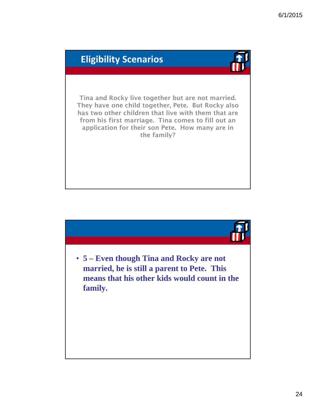

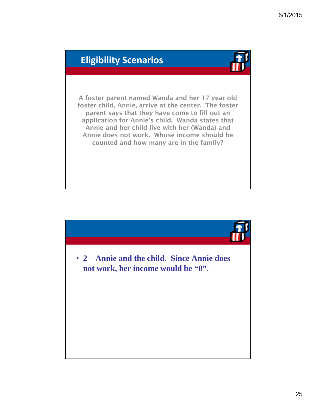A foster parent named Wanda and her 17 year old foster child, Annie, arrive at the center. The foster parent says that they have come to fill out an application for Annie's child. Wanda states that Annie and her child live with her (Wanda) and Annie does not work. Whose income should be counted and how many are in the family?

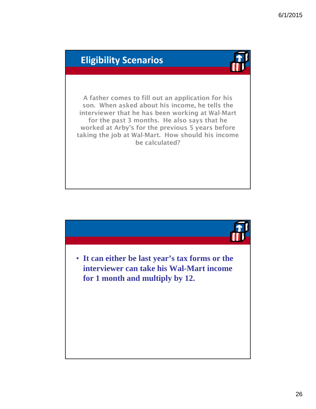A father comes to fill out an application for his son. When asked about his income, he tells the interviewer that he has been working at Wal-Mart for the past 3 months. He also says that he worked at Arby's for the previous 5 years before taking the job at Wal-Mart. How should his income be calculated?

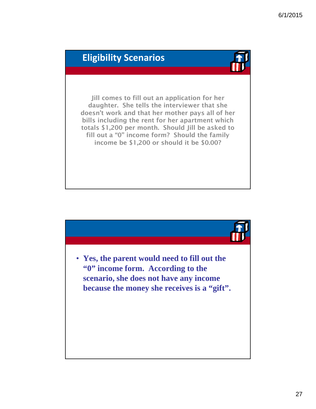Jill comes to fill out an application for her daughter. She tells the interviewer that she doesn't work and that her mother pays all of her bills including the rent for her apartment which totals \$1,200 per month. Should Jill be asked to fill out a "0" income form? Should the family income be  $$1,200$  or should it be  $$0.00?$ 

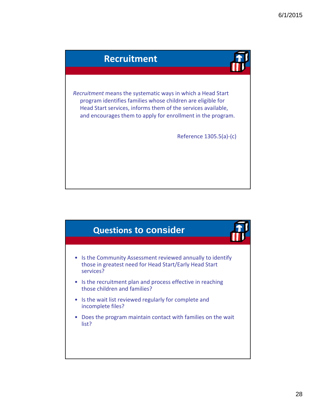

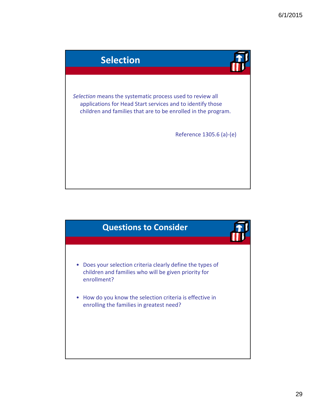

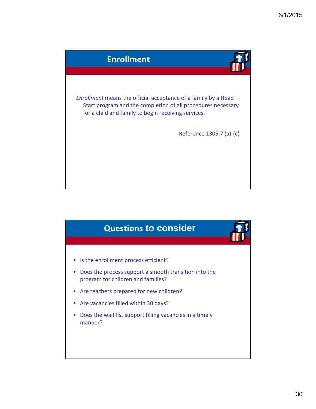

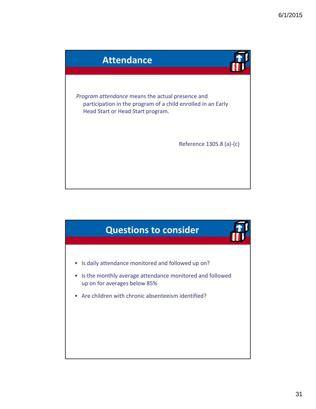

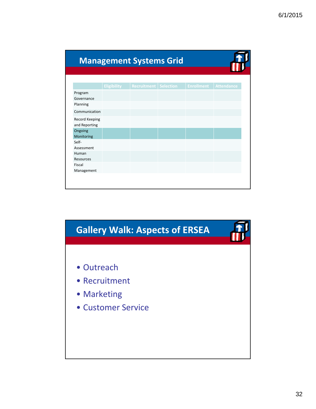|                                   |                    |                    | <b>Management Systems Grid</b> |                   |                   |
|-----------------------------------|--------------------|--------------------|--------------------------------|-------------------|-------------------|
|                                   |                    |                    |                                |                   |                   |
|                                   | <b>Eligibility</b> | <b>Recruitment</b> | <b>Selection</b>               | <b>Enrollment</b> | <b>Attendance</b> |
| Program<br>Governance<br>Planning |                    |                    |                                |                   |                   |
| Communication                     |                    |                    |                                |                   |                   |
| Record Keeping<br>and Reporting   |                    |                    |                                |                   |                   |
| Ongoing<br>Monitoring             |                    |                    |                                |                   |                   |
| Self-<br>Assessment               |                    |                    |                                |                   |                   |
| Human<br><b>Resources</b>         |                    |                    |                                |                   |                   |
| Fiscal<br>Management              |                    |                    |                                |                   |                   |